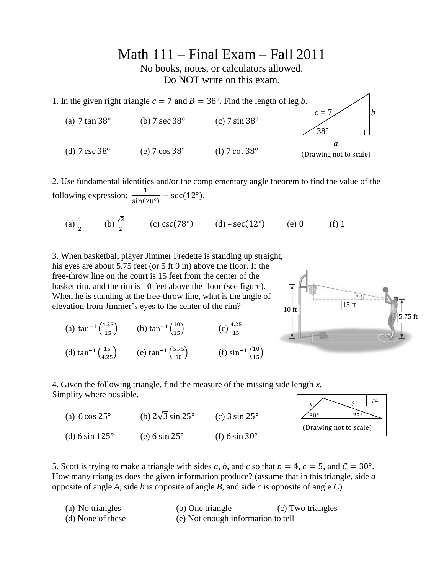Math 111 – Final Exam – Fall 2011

No books, notes, or calculators allowed. Do NOT write on this exam.



2. Use fundamental identities and/or the complementary angle theorem to find the value of the following expression:  $\frac{1}{\sqrt{1-\frac{1}{2}}\sqrt{1-\frac{1}{2}}}$  $\frac{1}{\sin(78^\circ)} - \sec(12^\circ).$ 

(a)  $\frac{1}{2}$  (b)  $\frac{\sqrt{3}}{2}$  (c) csc(78°) (d) – sec(12°) (e) 0 (f)

3. When basketball player Jimmer Fredette is standing up straight, his eyes are about 5.75 feet (or 5 ft 9 in) above the floor. If the free-throw line on the court is 15 feet from the center of the basket rim, and the rim is 10 feet above the floor (see figure). When he is standing at the free-throw line, what is the angle of elevation from Jimmer's eyes to the center of the rim?

(a)  $\tan^{-1}\left(\frac{4.25}{15}\right)$  (b)  $\tan^{-1}\left(\frac{10}{15}\right)$  (c)  $\frac{4.3}{1}$ (d)  $\tan^{-1}\left(\frac{15}{4.25}\right)$  (e)  $\tan^{-1}\left(\frac{5.75}{10}\right)$  (f)  $\sin^{-1}\left(\frac{10}{15}\right)$ 



 $x \sim 3$  $30^{\circ}$  25° (Drawing not to scale)

#4

4. Given the following triangle, find the measure of the missing side length *x*. Simplify where possible.

| (a) $6 \cos 25^\circ$ | (b) $2\sqrt{3} \sin 25^\circ$ | (c) $3 \sin 25^\circ$ |
|-----------------------|-------------------------------|-----------------------|
| (d) 6 sin $125^\circ$ | (e) $6 \sin 25^\circ$         | (f) 6 sin $30^\circ$  |



| (a) No triangles  | (b) One triangle                   | (c) Two triangles |
|-------------------|------------------------------------|-------------------|
| (d) None of these | (e) Not enough information to tell |                   |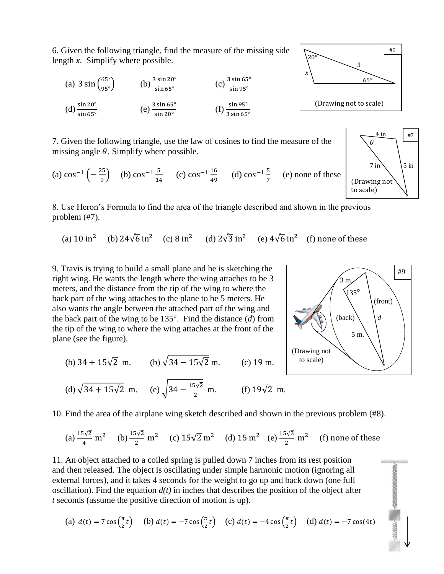6. Given the following triangle, find the measure of the missing side length *x*. Simplify where possible.



7. Given the following triangle, use the law of cosines to find the measure of the missing angle  $\theta$ . Simplify where possible.

(a)  $\cos^{-1}(-\frac{2}{\epsilon})$  $\left(\frac{25}{9}\right)$  (b)  $\cos^{-1} \frac{5}{14}$  $\frac{5}{14}$  (c)  $\cos^{-1} \frac{1}{4}$  $\frac{16}{49}$  (d)  $\cos^{-1} \frac{5}{7}$  $\frac{3}{7}$  (e) none of these

8. Use Heron's Formula to find the area of the triangle described and shown in the previous problem (#7).

(a)  $10 \text{ in}^2$  (b)  $24\sqrt{6} \text{ in}^2$  (c)  $8 \text{ in}^2$  (d)  $2\sqrt{3} \text{ in}^2$  (e)  $4\sqrt{6} \text{ in}^2$  (f)

9. Travis is trying to build a small plane and he is sketching the right wing. He wants the length where the wing attaches to be 3 meters, and the distance from the tip of the wing to where the back part of the wing attaches to the plane to be 5 meters. He also wants the angle between the attached part of the wing and the back part of the wing to be 135°. Find the distance (*d*) from the tip of the wing to where the wing attaches at the front of the plane (see the figure).

(b) 
$$
34 + 15\sqrt{2}
$$
 m. (b)  $\sqrt{34 - 15\sqrt{2}}$  m. (c) 19 m.

(d) 
$$
\sqrt{34 + 15\sqrt{2}}
$$
 m. (e)  $\sqrt{34 - \frac{15\sqrt{2}}{2}}$  m. (f)  $19\sqrt{2}$  m.

10. Find the area of the airplane wing sketch described and shown in the previous problem (#8).

(a) 
$$
\frac{15\sqrt{2}}{4}
$$
 m<sup>2</sup> (b)  $\frac{15\sqrt{2}}{2}$  m<sup>2</sup> (c)  $15\sqrt{2}$  m<sup>2</sup> (d)  $15$  m<sup>2</sup> (e)  $\frac{15\sqrt{3}}{2}$  m<sup>2</sup> (f) none of these

11. An object attached to a coiled spring is pulled down 7 inches from its rest position and then released. The object is oscillating under simple harmonic motion (ignoring all external forces), and it takes 4 seconds for the weight to go up and back down (one full oscillation). Find the equation  $d(t)$  in inches that describes the position of the object after *t* seconds (assume the positive direction of motion is up).

(a) 
$$
d(t) = 7 \cos(\frac{\pi}{2}t)
$$
 (b)  $d(t) = -7 \cos(\frac{\pi}{2}t)$  (c)  $d(t) = -4 \cos(\frac{\pi}{2}t)$  (d)  $d(t) = -7 \cos(4t)$ 





 *x*

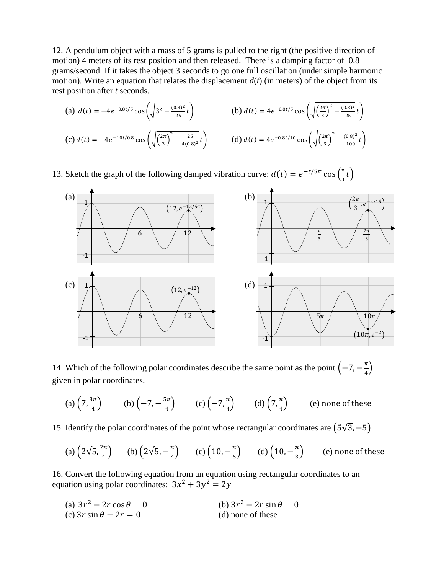12. A pendulum object with a mass of 5 grams is pulled to the right (the positive direction of motion) 4 meters of its rest position and then released. There is a damping factor of 0.8 grams/second. If it takes the object 3 seconds to go one full oscillation (under simple harmonic motion). Write an equation that relates the displacement  $d(t)$  (in meters) of the object from its rest position after *t* seconds.

(a) 
$$
d(t) = -4e^{-0.8t/5} \cos\left(\sqrt{3^2 - \frac{(0.8)^2}{25}}t\right)
$$
  
\n(b)  $d(t) = 4e^{-0.8t/5} \cos\left(\sqrt{\frac{2\pi}{3}}\right)^2 - \frac{(0.8)^2}{25}t\right)$   
\n(c)  $d(t) = -4e^{-10t/0.8} \cos\left(\sqrt{\frac{2\pi}{3}}\right)^2 - \frac{25}{4(0.8)^2}t\right)$   
\n(d)  $d(t) = 4e^{-0.8t/10} \cos\left(\sqrt{\frac{2\pi}{3}}\right)^2 - \frac{(0.8)^2}{100}t\right)$ 

13. Sketch the graph of the following damped vibration curve:  $d(t) = e^{-t/5\pi} \cos(\frac{\pi}{6})$  $\frac{\pi}{3}t\Big)$ 



14. Which of the following polar coordinates describe the same point as the point  $\left(-7, -\frac{\pi}{4}\right)$  $\frac{\pi}{4}$ given in polar coordinates.

(a) 
$$
\left(7, \frac{3\pi}{4}\right)
$$
 (b)  $\left(-7, -\frac{5\pi}{4}\right)$  (c)  $\left(-7, \frac{\pi}{4}\right)$  (d)  $\left(7, \frac{\pi}{4}\right)$  (e) none of these

15. Identify the polar coordinates of the point whose rectangular coordinates are  $(5\sqrt{3}, -5)$ .

(a) 
$$
\left(2\sqrt{5}, \frac{7\pi}{4}\right)
$$
 (b)  $\left(2\sqrt{5}, -\frac{\pi}{4}\right)$  (c)  $\left(10, -\frac{\pi}{6}\right)$  (d)  $\left(10, -\frac{\pi}{3}\right)$  (e) none of these

16. Convert the following equation from an equation using rectangular coordinates to an equation using polar coordinates:  $3x^2 + 3y^2$ 

| (a) $3r^2 - 2r \cos \theta = 0$ | (b) $3r^2 - 2r \sin \theta = 0$ |
|---------------------------------|---------------------------------|
| (c) $3r \sin \theta - 2r = 0$   | (d) none of these               |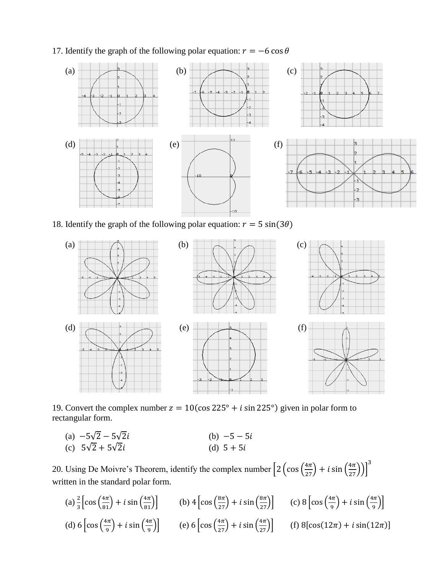17. Identify the graph of the following polar equation:  $r = -6 \cos \theta$ 



18. Identify the graph of the following polar equation:  $r = 5 \sin(3\theta)$ 



19. Convert the complex number  $z = 10(\cos 225^\circ + i \sin 225^\circ)$  given in polar form to rectangular form.

(a)  $-5\sqrt{2} - 5\sqrt{2}i$  (b)  $-$ (c)  $5\sqrt{2} + 5\sqrt{2}i$  (d)

20. Using De Moivre's Theorem, identify the complex number  $\left[2\left(\cos\left(\frac{4\pi}{27}\right) + i\sin\left(\frac{4\pi}{27}\right)\right)\right]^3$ written in the standard polar form.

(a)  $\frac{2}{3} \left[ \cos \left( \frac{4\pi}{81} \right) + i \sin \left( \frac{4\pi}{81} \right) \right]$  (b)  $4 \left[ \cos \left( \frac{8\pi}{27} \right) + i \sin \left( \frac{8\pi}{27} \right) \right]$  (c)  $8 \left[ \cos \left( \frac{4\pi}{5} \right) + i \sin \left( \frac{8\pi}{27} \right) \right]$  $\left(\frac{1}{9}\right)$  + i sin  $\left(\frac{4}{9}\right)$  $\frac{1}{9}\big)\big]$ (d)  $6 \left[ \cos \left( \frac{4}{5} \right) \right]$  $\left(\frac{i\pi}{9}\right)$  + i sin  $\left(\frac{4}{9}\right)$ (e)  $6\left[\cos\left(\frac{4\pi}{27}\right) + i \sin\left(\frac{4\pi}{27}\right)\right]$  (f)  $8\left[\cos(12\pi) + i \sin(12\pi)\right]$